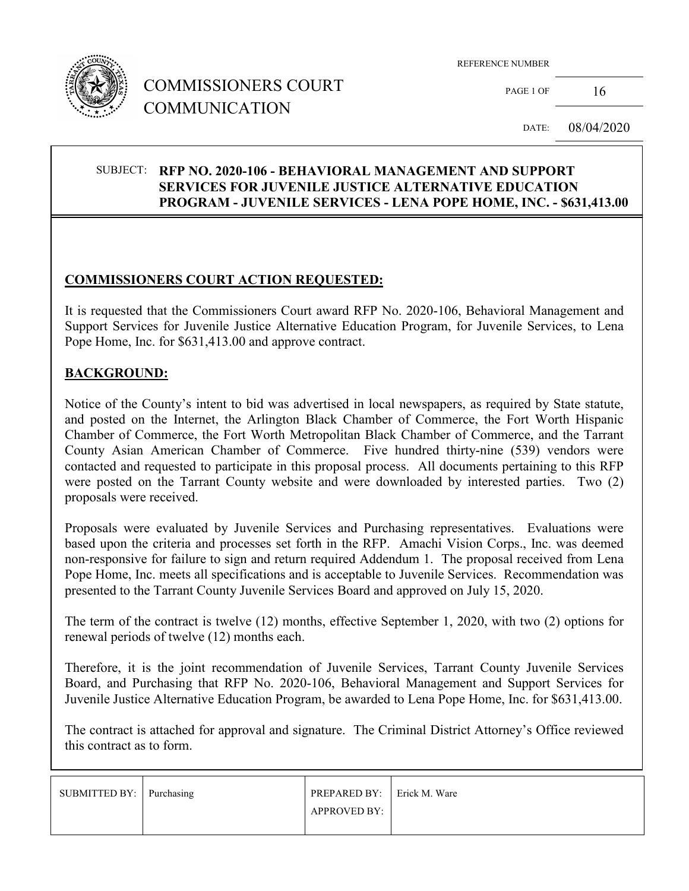

# COMMISSIONERS COURT COMMUNICATION

REFERENCE NUMBER

PAGE 1 OF  $16$ 

DATE: 08/04/2020

#### SUBJECT: **RFP NO. 2020-106 - BEHAVIORAL MANAGEMENT AND SUPPORT SERVICES FOR JUVENILE JUSTICE ALTERNATIVE EDUCATION PROGRAM - JUVENILE SERVICES - LENA POPE HOME, INC. - \$631,413.00**

## **COMMISSIONERS COURT ACTION REQUESTED:**

It is requested that the Commissioners Court award RFP No. 2020-106, Behavioral Management and Support Services for Juvenile Justice Alternative Education Program, for Juvenile Services, to Lena Pope Home, Inc. for \$631,413.00 and approve contract.

#### **BACKGROUND:**

Notice of the County's intent to bid was advertised in local newspapers, as required by State statute, and posted on the Internet, the Arlington Black Chamber of Commerce, the Fort Worth Hispanic Chamber of Commerce, the Fort Worth Metropolitan Black Chamber of Commerce, and the Tarrant County Asian American Chamber of Commerce. Five hundred thirty-nine (539) vendors were contacted and requested to participate in this proposal process. All documents pertaining to this RFP were posted on the Tarrant County website and were downloaded by interested parties. Two (2) proposals were received.

Proposals were evaluated by Juvenile Services and Purchasing representatives. Evaluations were based upon the criteria and processes set forth in the RFP. Amachi Vision Corps., Inc. was deemed non-responsive for failure to sign and return required Addendum 1. The proposal received from Lena Pope Home, Inc. meets all specifications and is acceptable to Juvenile Services. Recommendation was presented to the Tarrant County Juvenile Services Board and approved on July 15, 2020.

The term of the contract is twelve (12) months, effective September 1, 2020, with two (2) options for renewal periods of twelve (12) months each.

Therefore, it is the joint recommendation of Juvenile Services, Tarrant County Juvenile Services Board, and Purchasing that RFP No. 2020-106, Behavioral Management and Support Services for Juvenile Justice Alternative Education Program, be awarded to Lena Pope Home, Inc. for \$631,413.00.

The contract is attached for approval and signature. The Criminal District Attorney's Office reviewed this contract as to form.

| SUBMITTED BY: Purchasing | PREPARED BY: Frick M. Ware |  |
|--------------------------|----------------------------|--|
|                          | <b>APPROVED BY:</b>        |  |